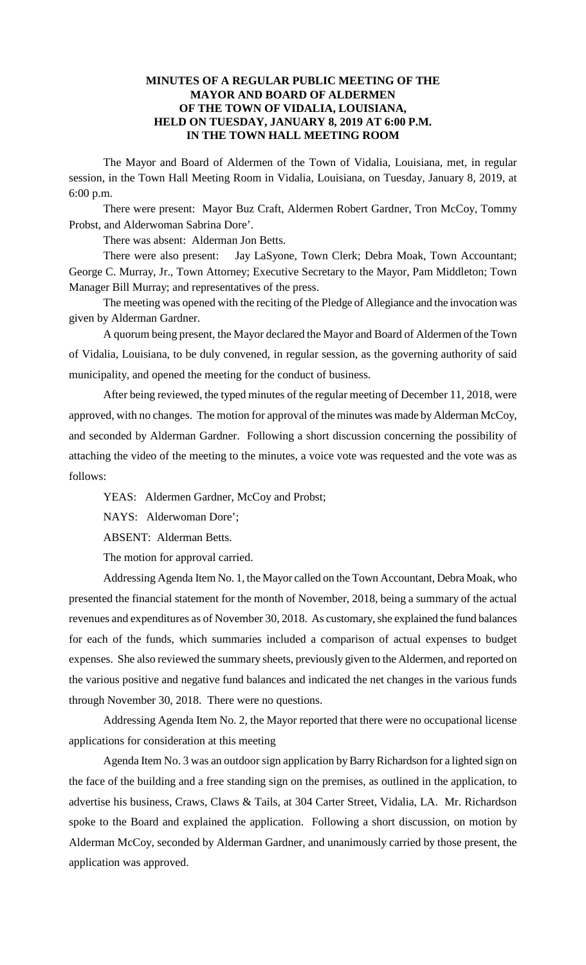## **MINUTES OF A REGULAR PUBLIC MEETING OF THE MAYOR AND BOARD OF ALDERMEN OF THE TOWN OF VIDALIA, LOUISIANA, HELD ON TUESDAY, JANUARY 8, 2019 AT 6:00 P.M. IN THE TOWN HALL MEETING ROOM**

The Mayor and Board of Aldermen of the Town of Vidalia, Louisiana, met, in regular session, in the Town Hall Meeting Room in Vidalia, Louisiana, on Tuesday, January 8, 2019, at 6:00 p.m.

There were present: Mayor Buz Craft, Aldermen Robert Gardner, Tron McCoy, Tommy Probst, and Alderwoman Sabrina Dore'.

There was absent: Alderman Jon Betts.

There were also present: Jay LaSyone, Town Clerk; Debra Moak, Town Accountant; George C. Murray, Jr., Town Attorney; Executive Secretary to the Mayor, Pam Middleton; Town Manager Bill Murray; and representatives of the press.

The meeting was opened with the reciting of the Pledge of Allegiance and the invocation was given by Alderman Gardner.

A quorum being present, the Mayor declared the Mayor and Board of Aldermen of the Town of Vidalia, Louisiana, to be duly convened, in regular session, as the governing authority of said municipality, and opened the meeting for the conduct of business.

After being reviewed, the typed minutes of the regular meeting of December 11, 2018, were approved, with no changes. The motion for approval of the minutes was made by Alderman McCoy, and seconded by Alderman Gardner. Following a short discussion concerning the possibility of attaching the video of the meeting to the minutes, a voice vote was requested and the vote was as follows:

YEAS: Aldermen Gardner, McCoy and Probst;

NAYS: Alderwoman Dore';

ABSENT: Alderman Betts.

The motion for approval carried.

Addressing Agenda Item No. 1, the Mayor called on the Town Accountant, Debra Moak, who presented the financial statement for the month of November, 2018, being a summary of the actual revenues and expenditures as of November 30, 2018. As customary, she explained the fund balances for each of the funds, which summaries included a comparison of actual expenses to budget expenses. She also reviewed the summary sheets, previously given to the Aldermen, and reported on the various positive and negative fund balances and indicated the net changes in the various funds through November 30, 2018. There were no questions.

Addressing Agenda Item No. 2, the Mayor reported that there were no occupational license applications for consideration at this meeting

Agenda Item No. 3 was an outdoor sign application by Barry Richardson for a lighted sign on the face of the building and a free standing sign on the premises, as outlined in the application, to advertise his business, Craws, Claws & Tails, at 304 Carter Street, Vidalia, LA. Mr. Richardson spoke to the Board and explained the application. Following a short discussion, on motion by Alderman McCoy, seconded by Alderman Gardner, and unanimously carried by those present, the application was approved.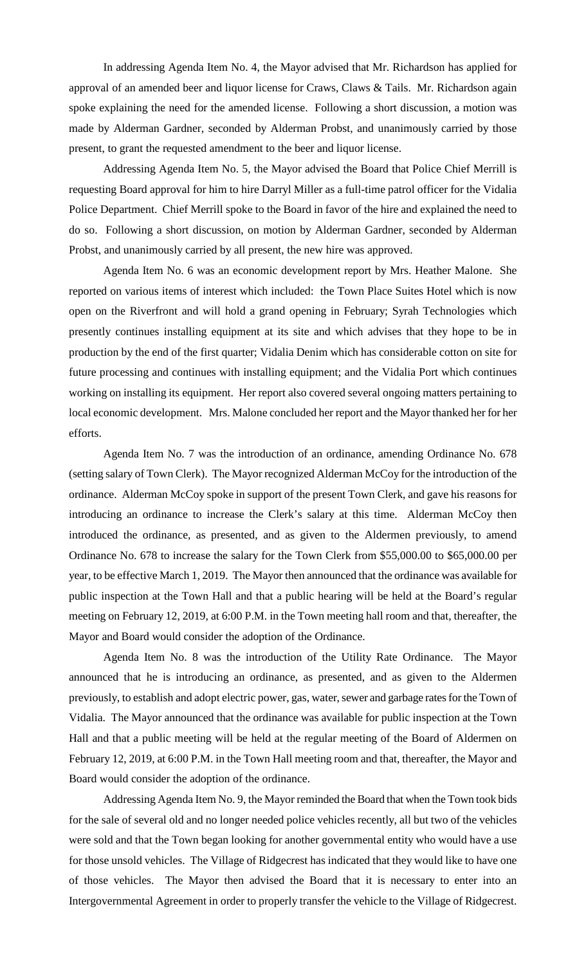In addressing Agenda Item No. 4, the Mayor advised that Mr. Richardson has applied for approval of an amended beer and liquor license for Craws, Claws & Tails. Mr. Richardson again spoke explaining the need for the amended license. Following a short discussion, a motion was made by Alderman Gardner, seconded by Alderman Probst, and unanimously carried by those present, to grant the requested amendment to the beer and liquor license.

Addressing Agenda Item No. 5, the Mayor advised the Board that Police Chief Merrill is requesting Board approval for him to hire Darryl Miller as a full-time patrol officer for the Vidalia Police Department. Chief Merrill spoke to the Board in favor of the hire and explained the need to do so. Following a short discussion, on motion by Alderman Gardner, seconded by Alderman Probst, and unanimously carried by all present, the new hire was approved.

Agenda Item No. 6 was an economic development report by Mrs. Heather Malone. She reported on various items of interest which included: the Town Place Suites Hotel which is now open on the Riverfront and will hold a grand opening in February; Syrah Technologies which presently continues installing equipment at its site and which advises that they hope to be in production by the end of the first quarter; Vidalia Denim which has considerable cotton on site for future processing and continues with installing equipment; and the Vidalia Port which continues working on installing its equipment. Her report also covered several ongoing matters pertaining to local economic development. Mrs. Malone concluded her report and the Mayor thanked her for her efforts.

Agenda Item No. 7 was the introduction of an ordinance, amending Ordinance No. 678 (setting salary of Town Clerk). The Mayor recognized Alderman McCoy for the introduction of the ordinance. Alderman McCoy spoke in support of the present Town Clerk, and gave his reasons for introducing an ordinance to increase the Clerk's salary at this time. Alderman McCoy then introduced the ordinance, as presented, and as given to the Aldermen previously, to amend Ordinance No. 678 to increase the salary for the Town Clerk from \$55,000.00 to \$65,000.00 per year, to be effective March 1, 2019. The Mayor then announced that the ordinance was available for public inspection at the Town Hall and that a public hearing will be held at the Board's regular meeting on February 12, 2019, at 6:00 P.M. in the Town meeting hall room and that, thereafter, the Mayor and Board would consider the adoption of the Ordinance.

Agenda Item No. 8 was the introduction of the Utility Rate Ordinance. The Mayor announced that he is introducing an ordinance, as presented, and as given to the Aldermen previously, to establish and adopt electric power, gas, water, sewer and garbage rates for the Town of Vidalia. The Mayor announced that the ordinance was available for public inspection at the Town Hall and that a public meeting will be held at the regular meeting of the Board of Aldermen on February 12, 2019, at 6:00 P.M. in the Town Hall meeting room and that, thereafter, the Mayor and Board would consider the adoption of the ordinance.

Addressing Agenda Item No. 9, the Mayor reminded the Board that when the Town took bids for the sale of several old and no longer needed police vehicles recently, all but two of the vehicles were sold and that the Town began looking for another governmental entity who would have a use for those unsold vehicles. The Village of Ridgecrest has indicated that they would like to have one of those vehicles. The Mayor then advised the Board that it is necessary to enter into an Intergovernmental Agreement in order to properly transfer the vehicle to the Village of Ridgecrest.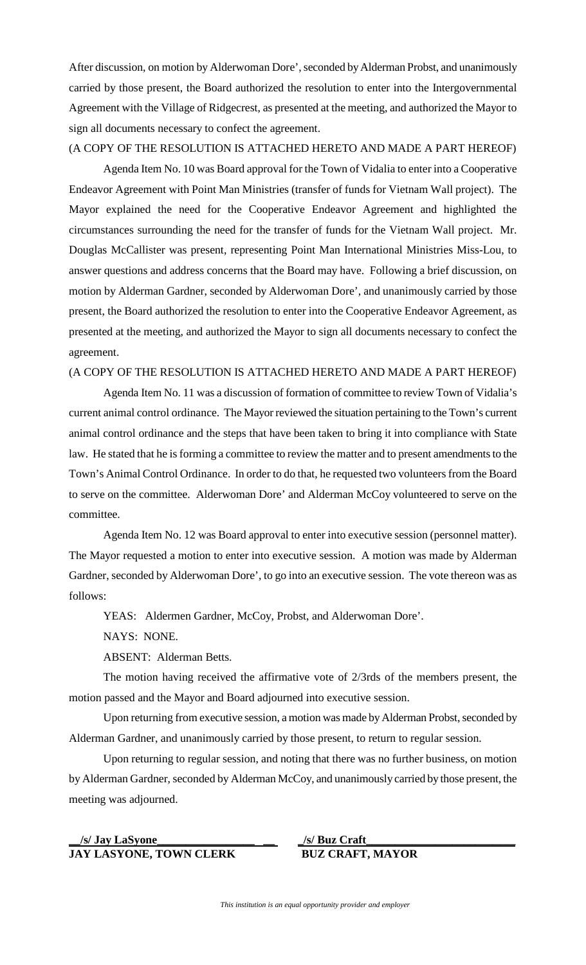After discussion, on motion by Alderwoman Dore', seconded by Alderman Probst, and unanimously carried by those present, the Board authorized the resolution to enter into the Intergovernmental Agreement with the Village of Ridgecrest, as presented at the meeting, and authorized the Mayor to sign all documents necessary to confect the agreement.

(A COPY OF THE RESOLUTION IS ATTACHED HERETO AND MADE A PART HEREOF)

Agenda Item No. 10 was Board approval for the Town of Vidalia to enter into a Cooperative Endeavor Agreement with Point Man Ministries (transfer of funds for Vietnam Wall project). The Mayor explained the need for the Cooperative Endeavor Agreement and highlighted the circumstances surrounding the need for the transfer of funds for the Vietnam Wall project. Mr. Douglas McCallister was present, representing Point Man International Ministries Miss-Lou, to answer questions and address concerns that the Board may have. Following a brief discussion, on motion by Alderman Gardner, seconded by Alderwoman Dore', and unanimously carried by those present, the Board authorized the resolution to enter into the Cooperative Endeavor Agreement, as presented at the meeting, and authorized the Mayor to sign all documents necessary to confect the agreement.

## (A COPY OF THE RESOLUTION IS ATTACHED HERETO AND MADE A PART HEREOF)

Agenda Item No. 11 was a discussion of formation of committee to review Town of Vidalia's current animal control ordinance. The Mayor reviewed the situation pertaining to the Town's current animal control ordinance and the steps that have been taken to bring it into compliance with State law. He stated that he is forming a committee to review the matter and to present amendments to the Town's Animal Control Ordinance. In order to do that, he requested two volunteers from the Board to serve on the committee. Alderwoman Dore' and Alderman McCoy volunteered to serve on the committee.

Agenda Item No. 12 was Board approval to enter into executive session (personnel matter). The Mayor requested a motion to enter into executive session. A motion was made by Alderman Gardner, seconded by Alderwoman Dore', to go into an executive session. The vote thereon was as follows:

YEAS: Aldermen Gardner, McCoy, Probst, and Alderwoman Dore'.

NAYS: NONE.

ABSENT: Alderman Betts.

The motion having received the affirmative vote of 2/3rds of the members present, the motion passed and the Mayor and Board adjourned into executive session.

Upon returning from executive session, a motion was made by Alderman Probst, seconded by Alderman Gardner, and unanimously carried by those present, to return to regular session.

Upon returning to regular session, and noting that there was no further business, on motion by Alderman Gardner, seconded by Alderman McCoy, and unanimously carried by those present, the meeting was adjourned.

## **\_\_/s/ Jay LaSyone\_\_\_\_\_\_\_\_\_\_\_\_\_\_\_\_\_ \_\_ JAY LASYONE, TOWN CLERK BUZ CRAFT, MAYOR**

**\_/s/ Buz Craft\_\_\_\_\_\_\_\_\_\_\_\_\_\_\_\_\_\_\_\_\_\_\_\_\_\_**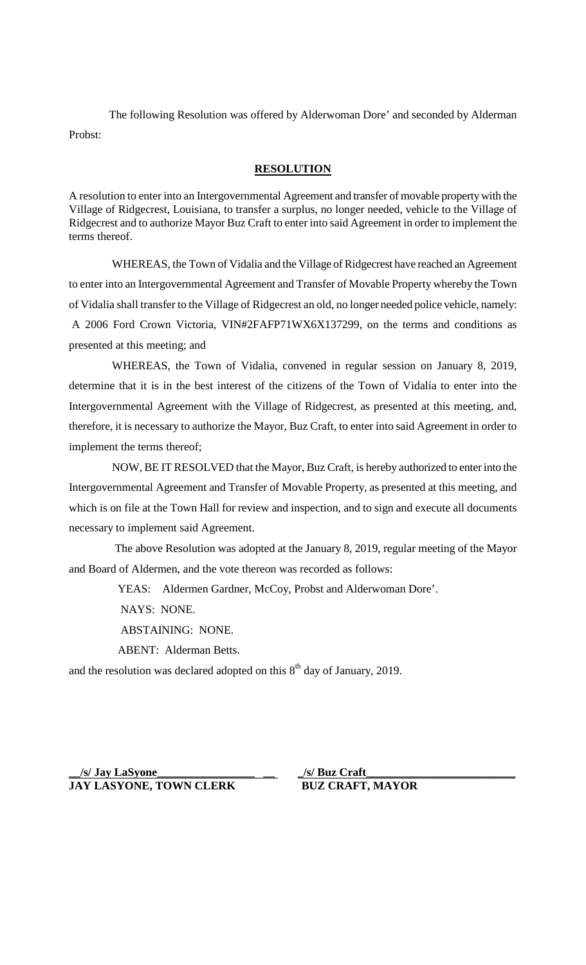The following Resolution was offered by Alderwoman Dore' and seconded by Alderman Probst:

**RESOLUTION**

A resolution to enter into an Intergovernmental Agreement and transfer of movable property with the Village of Ridgecrest, Louisiana, to transfer a surplus, no longer needed, vehicle to the Village of Ridgecrest and to authorize Mayor Buz Craft to enter into said Agreement in order to implement the terms thereof.

 WHEREAS, the Town of Vidalia and the Village of Ridgecrest have reached an Agreement to enter into an Intergovernmental Agreement and Transfer of Movable Property whereby the Town of Vidalia shall transfer to the Village of Ridgecrest an old, no longer needed police vehicle, namely: A 2006 Ford Crown Victoria, VIN#2FAFP71WX6X137299, on the terms and conditions as presented at this meeting; and

 WHEREAS, the Town of Vidalia, convened in regular session on January 8, 2019, determine that it is in the best interest of the citizens of the Town of Vidalia to enter into the Intergovernmental Agreement with the Village of Ridgecrest, as presented at this meeting, and, therefore, it is necessary to authorize the Mayor, Buz Craft, to enter into said Agreement in order to implement the terms thereof;

 NOW, BE IT RESOLVED that the Mayor, Buz Craft, is hereby authorized to enter into the Intergovernmental Agreement and Transfer of Movable Property, as presented at this meeting, and which is on file at the Town Hall for review and inspection, and to sign and execute all documents necessary to implement said Agreement.

 The above Resolution was adopted at the January 8, 2019, regular meeting of the Mayor and Board of Aldermen, and the vote thereon was recorded as follows:

YEAS: Aldermen Gardner, McCoy, Probst and Alderwoman Dore'.

NAYS: NONE.

ABSTAINING: NONE.

ABENT: Alderman Betts.

and the resolution was declared adopted on this  $8<sup>th</sup>$  day of January, 2019.

**\_\_/s/ Jay LaSyone\_\_\_\_\_\_\_\_\_\_\_\_\_\_\_\_\_ \_\_ JAY LASYONE, TOWN CLERK BUZ CRAFT, MAYOR**

**\_/s/ Buz Craft\_\_\_\_\_\_\_\_\_\_\_\_\_\_\_\_\_\_\_\_\_\_\_\_\_\_**